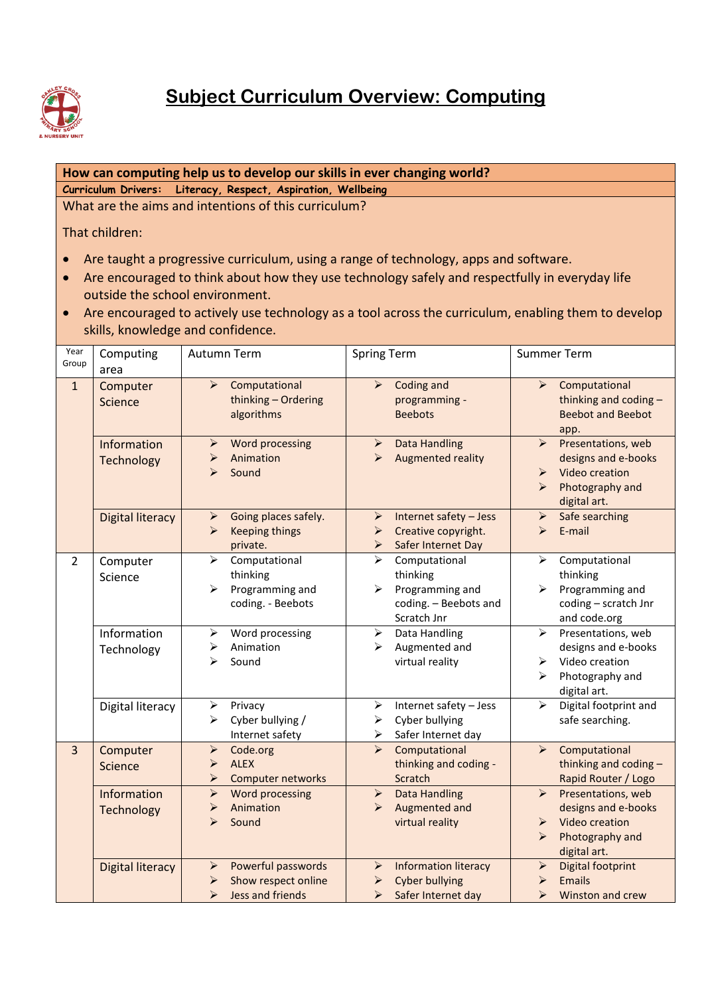

## **How can computing help us to develop our skills in ever changing world?**

**Curriculum Drivers: Literacy, Respect, Aspiration, Wellbeing**

What are the aims and intentions of this curriculum?

That children:

- Are taught a progressive curriculum, using a range of technology, apps and software.
- Are encouraged to think about how they use technology safely and respectfully in everyday life outside the school environment.
- Are encouraged to actively use technology as a tool across the curriculum, enabling them to develop skills, knowledge and confidence.

| Year<br>Group  | Computing<br>area         | Autumn Term                                                                                                          | <b>Spring Term</b>                                                                                                                | <b>Summer Term</b>                                                                                                                                    |
|----------------|---------------------------|----------------------------------------------------------------------------------------------------------------------|-----------------------------------------------------------------------------------------------------------------------------------|-------------------------------------------------------------------------------------------------------------------------------------------------------|
| $\mathbf{1}$   | Computer<br>Science       | Computational<br>$\blacktriangleright$<br>thinking - Ordering<br>algorithms                                          | Coding and<br>$\blacktriangleright$<br>programming -<br><b>Beebots</b>                                                            | Computational<br>$\blacktriangleright$<br>thinking and coding -<br><b>Beebot and Beebot</b><br>app.                                                   |
|                | Information<br>Technology | Word processing<br>➤<br>Animation<br>⋗<br>Sound<br>⋗                                                                 | <b>Data Handling</b><br>➤<br>Augmented reality<br>$\blacktriangleright$                                                           | Presentations, web<br>$\blacktriangleright$<br>designs and e-books<br>Video creation<br>$\blacktriangleright$<br>Photography and<br>⋗<br>digital art. |
|                | <b>Digital literacy</b>   | Going places safely.<br>$\blacktriangleright$<br><b>Keeping things</b><br>➤<br>private.                              | Internet safety - Jess<br>$\blacktriangleright$<br>Creative copyright.<br>➤<br>Safer Internet Day<br>➤                            | Safe searching<br>$\blacktriangleright$<br>E-mail<br>➤                                                                                                |
| $\overline{2}$ | Computer<br>Science       | Computational<br>➤<br>thinking<br>Programming and<br>≻<br>coding. - Beebots                                          | Computational<br>$\blacktriangleright$<br>thinking<br>Programming and<br>⋗<br>coding. - Beebots and<br>Scratch Jnr                | Computational<br>➤<br>thinking<br>Programming and<br>➤<br>coding - scratch Jnr<br>and code.org                                                        |
|                | Information<br>Technology | Word processing<br>➤<br>Animation<br>≻<br>Sound<br>⋗                                                                 | $\blacktriangleright$<br>Data Handling<br>Augmented and<br>⋗<br>virtual reality                                                   | $\blacktriangleright$<br>Presentations, web<br>designs and e-books<br>Video creation<br>➤<br>Photography and<br>↘<br>digital art.                     |
|                | Digital literacy          | Privacy<br>➤<br>Cyber bullying /<br>≻<br>Internet safety                                                             | Internet safety - Jess<br>➤<br>Cyber bullying<br>➤<br>Safer Internet day<br>➤                                                     | Digital footprint and<br>➤<br>safe searching.                                                                                                         |
| $\overline{3}$ | Computer<br>Science       | $\blacktriangleright$<br>Code.org<br><b>ALEX</b><br>➤<br>Computer networks<br>$\blacktriangleright$                  | Computational<br>$\blacktriangleright$<br>thinking and coding -<br>Scratch                                                        | Computational<br>$\blacktriangleright$<br>thinking and coding -<br>Rapid Router / Logo                                                                |
|                | Information<br>Technology | Word processing<br>$\blacktriangleright$<br>Animation<br>➤<br>$\blacktriangleright$<br>Sound                         | <b>Data Handling</b><br>➤<br>Augmented and<br>$\blacktriangleright$<br>virtual reality                                            | Presentations, web<br>$\blacktriangleright$<br>designs and e-books<br>Video creation<br>➤<br>Photography and<br>➤<br>digital art.                     |
|                | <b>Digital literacy</b>   | Powerful passwords<br>$\blacktriangleright$<br>Show respect online<br>➤<br>$\blacktriangleright$<br>Jess and friends | <b>Information literacy</b><br>$\blacktriangleright$<br><b>Cyber bullying</b><br>➤<br>$\blacktriangleright$<br>Safer Internet day | $\blacktriangleright$<br><b>Digital footprint</b><br>Emails<br>$\blacktriangleright$<br>$\blacktriangleright$<br>Winston and crew                     |